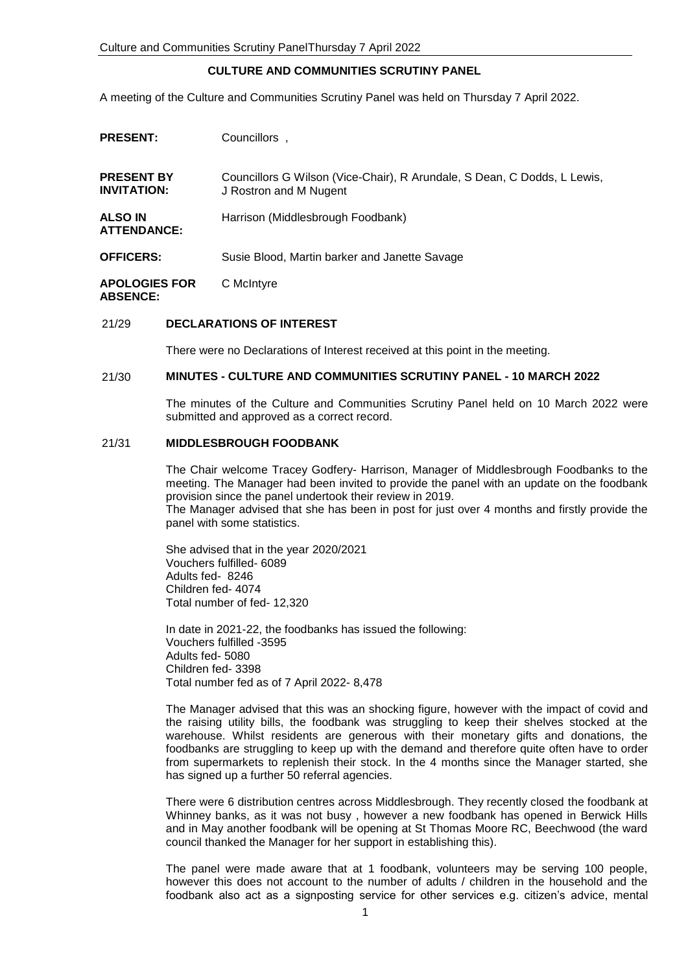#### **CULTURE AND COMMUNITIES SCRUTINY PANEL**

A meeting of the Culture and Communities Scrutiny Panel was held on Thursday 7 April 2022.

| <b>PRESENT:</b>                         | Councillors.                                                                                       |
|-----------------------------------------|----------------------------------------------------------------------------------------------------|
| <b>PRESENT BY</b><br><b>INVITATION:</b> | Councillors G Wilson (Vice-Chair), R Arundale, S Dean, C Dodds, L Lewis,<br>J Rostron and M Nugent |
| <b>ALSO IN</b><br><b>ATTENDANCE:</b>    | Harrison (Middlesbrough Foodbank)                                                                  |
| <b>OFFICERS:</b>                        | Susie Blood, Martin barker and Janette Savage                                                      |
| <b>APOLOGIES FOR</b><br><b>ARSENCE</b>  | C McIntyre                                                                                         |

#### 21/29 **DECLARATIONS OF INTEREST**

There were no Declarations of Interest received at this point in the meeting.

#### 21/30 **MINUTES - CULTURE AND COMMUNITIES SCRUTINY PANEL - 10 MARCH 2022**

The minutes of the Culture and Communities Scrutiny Panel held on 10 March 2022 were submitted and approved as a correct record.

## 21/31 **MIDDLESBROUGH FOODBANK**

The Chair welcome Tracey Godfery- Harrison, Manager of Middlesbrough Foodbanks to the meeting. The Manager had been invited to provide the panel with an update on the foodbank provision since the panel undertook their review in 2019.

The Manager advised that she has been in post for just over 4 months and firstly provide the panel with some statistics.

She advised that in the year 2020/2021 Vouchers fulfilled- 6089 Adults fed- 8246 Children fed- 4074 Total number of fed- 12,320

In date in 2021-22, the foodbanks has issued the following: Vouchers fulfilled -3595 Adults fed- 5080 Children fed- 3398 Total number fed as of 7 April 2022- 8,478

The Manager advised that this was an shocking figure, however with the impact of covid and the raising utility bills, the foodbank was struggling to keep their shelves stocked at the warehouse. Whilst residents are generous with their monetary gifts and donations, the foodbanks are struggling to keep up with the demand and therefore quite often have to order from supermarkets to replenish their stock. In the 4 months since the Manager started, she has signed up a further 50 referral agencies.

There were 6 distribution centres across Middlesbrough. They recently closed the foodbank at Whinney banks, as it was not busy , however a new foodbank has opened in Berwick Hills and in May another foodbank will be opening at St Thomas Moore RC, Beechwood (the ward council thanked the Manager for her support in establishing this).

The panel were made aware that at 1 foodbank, volunteers may be serving 100 people, however this does not account to the number of adults / children in the household and the foodbank also act as a signposting service for other services e.g. citizen's advice, mental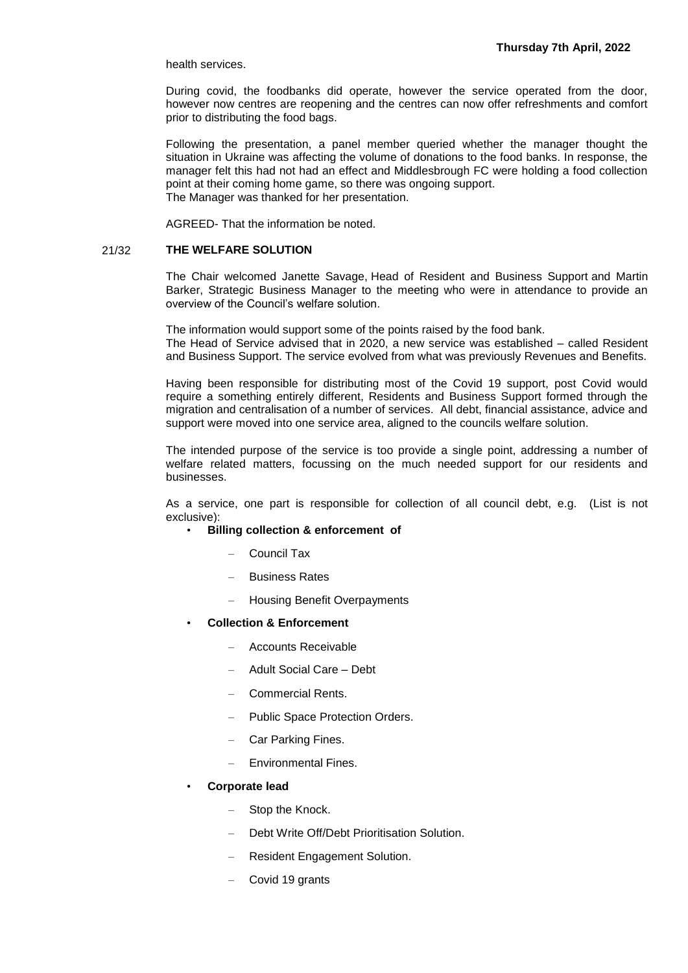health services.

During covid, the foodbanks did operate, however the service operated from the door, however now centres are reopening and the centres can now offer refreshments and comfort prior to distributing the food bags.

Following the presentation, a panel member queried whether the manager thought the situation in Ukraine was affecting the volume of donations to the food banks. In response, the manager felt this had not had an effect and Middlesbrough FC were holding a food collection point at their coming home game, so there was ongoing support. The Manager was thanked for her presentation.

AGREED- That the information be noted.

# 21/32 **THE WELFARE SOLUTION**

The Chair welcomed Janette Savage, Head of Resident and Business Support and Martin Barker, Strategic Business Manager to the meeting who were in attendance to provide an overview of the Council's welfare solution.

The information would support some of the points raised by the food bank. The Head of Service advised that in 2020, a new service was established – called Resident and Business Support. The service evolved from what was previously Revenues and Benefits.

Having been responsible for distributing most of the Covid 19 support, post Covid would require a something entirely different, Residents and Business Support formed through the migration and centralisation of a number of services. All debt, financial assistance, advice and support were moved into one service area, aligned to the councils welfare solution.

The intended purpose of the service is too provide a single point, addressing a number of welfare related matters, focussing on the much needed support for our residents and businesses.

As a service, one part is responsible for collection of all council debt, e.g. (List is not exclusive):

- **Billing collection & enforcement of**
	- Council Tax
	- Business Rates
	- Housing Benefit Overpayments
- **Collection & Enforcement**
	- Accounts Receivable
	- Adult Social Care Debt
	- Commercial Rents.
	- Public Space Protection Orders.
	- Car Parking Fines.
	- Environmental Fines.
- **Corporate lead** 
	- Stop the Knock.
	- Debt Write Off/Debt Prioritisation Solution.
	- Resident Engagement Solution.
	- Covid 19 grants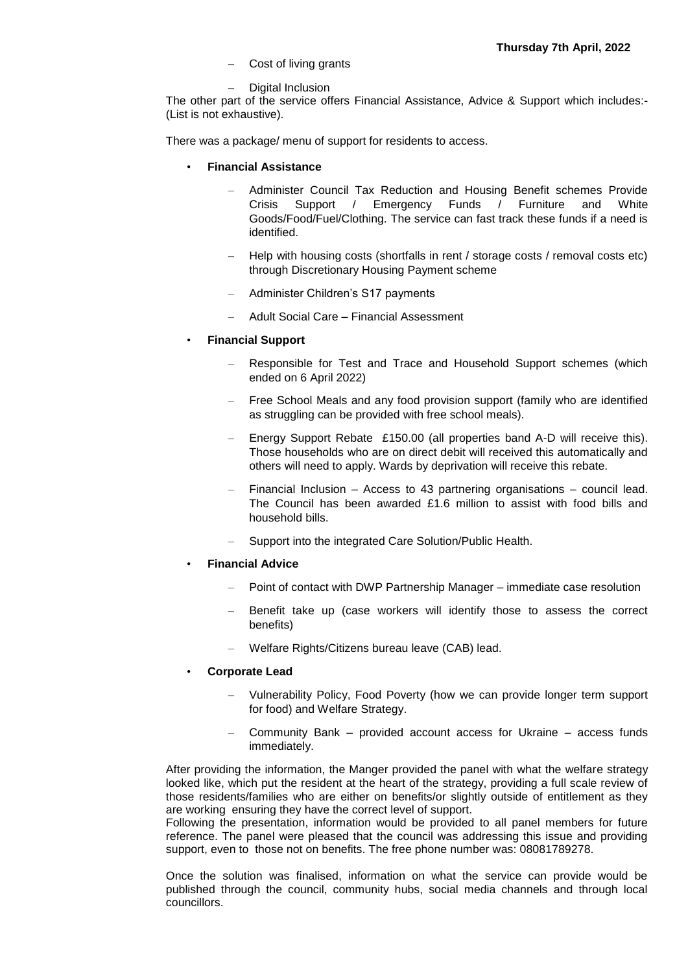- Cost of living grants
- Digital Inclusion

The other part of the service offers Financial Assistance, Advice & Support which includes:- (List is not exhaustive).

There was a package/ menu of support for residents to access.

- **Financial Assistance** 
	- Administer Council Tax Reduction and Housing Benefit schemes Provide Crisis Support / Emergency Funds / Furniture and White Goods/Food/Fuel/Clothing. The service can fast track these funds if a need is identified.
	- Help with housing costs (shortfalls in rent / storage costs / removal costs etc) through Discretionary Housing Payment scheme
	- Administer Children's S17 payments
	- Adult Social Care Financial Assessment
- **Financial Support**
	- Responsible for Test and Trace and Household Support schemes (which ended on 6 April 2022)
	- Free School Meals and any food provision support (family who are identified as struggling can be provided with free school meals).
	- Energy Support Rebate £150.00 (all properties band A-D will receive this). Those households who are on direct debit will received this automatically and others will need to apply. Wards by deprivation will receive this rebate.
	- Financial Inclusion Access to 43 partnering organisations council lead. The Council has been awarded £1.6 million to assist with food bills and household bills.
	- Support into the integrated Care Solution/Public Health.
- **Financial Advice**
	- Point of contact with DWP Partnership Manager immediate case resolution
	- Benefit take up (case workers will identify those to assess the correct benefits)
	- Welfare Rights/Citizens bureau leave (CAB) lead.
- **Corporate Lead** 
	- Vulnerability Policy, Food Poverty (how we can provide longer term support for food) and Welfare Strategy.
	- Community Bank provided account access for Ukraine access funds immediately.

After providing the information, the Manger provided the panel with what the welfare strategy looked like, which put the resident at the heart of the strategy, providing a full scale review of those residents/families who are either on benefits/or slightly outside of entitlement as they are working ensuring they have the correct level of support.

Following the presentation, information would be provided to all panel members for future reference. The panel were pleased that the council was addressing this issue and providing support, even to those not on benefits. The free phone number was: 08081789278.

Once the solution was finalised, information on what the service can provide would be published through the council, community hubs, social media channels and through local councillors.